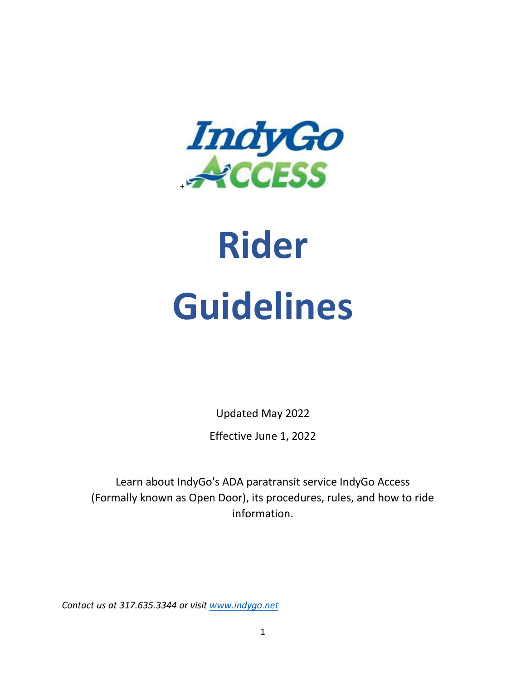

# **Rider Guidelines**

Updated May 2022 Effective June 1, 2022

Learn about IndyGo's ADA paratransit service IndyGo Access (Formally known as Open Door), its procedures, rules, and how to ride information.

*Contact us at 317.635.3344 or visit [www.indygo.net](http://indygo.net/)*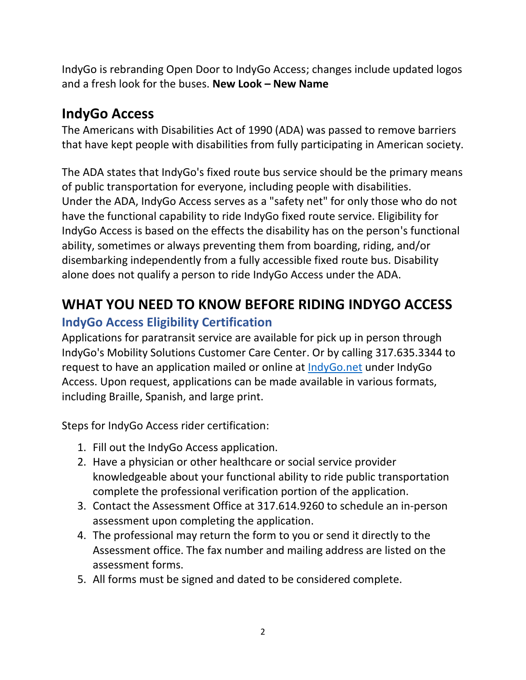IndyGo is rebranding Open Door to IndyGo Access; changes include updated logos and a fresh look for the buses. **New Look – New Name**

# **IndyGo Access**

The Americans with Disabilities Act of 1990 (ADA) was passed to remove barriers that have kept people with disabilities from fully participating in American society.

The ADA states that IndyGo's fixed route bus service should be the primary means of public transportation for everyone, including people with disabilities. Under the ADA, IndyGo Access serves as a "safety net" for only those who do not have the functional capability to ride IndyGo fixed route service. Eligibility for IndyGo Access is based on the effects the disability has on the person's functional ability, sometimes or always preventing them from boarding, riding, and/or disembarking independently from a fully accessible fixed route bus. Disability alone does not qualify a person to ride IndyGo Access under the ADA.

# **WHAT YOU NEED TO KNOW BEFORE RIDING INDYGO ACCESS**

# **IndyGo Access Eligibility Certification**

Applications for paratransit service are available for pick up in person through IndyGo's Mobility Solutions Customer Care Center. Or by calling 317.635.3344 to request to have an application mailed or online at [IndyGo.net](http://indygo.net/) under IndyGo Access. Upon request, applications can be made available in various formats, including Braille, Spanish, and large print.

Steps for IndyGo Access rider certification:

- 1. Fill out the IndyGo Access application.
- 2. Have a physician or other healthcare or social service provider knowledgeable about your functional ability to ride public transportation complete the professional verification portion of the application.
- 3. Contact the Assessment Office at 317.614.9260 to schedule an in-person assessment upon completing the application.
- 4. The professional may return the form to you or send it directly to the Assessment office. The fax number and mailing address are listed on the assessment forms.
- 5. All forms must be signed and dated to be considered complete.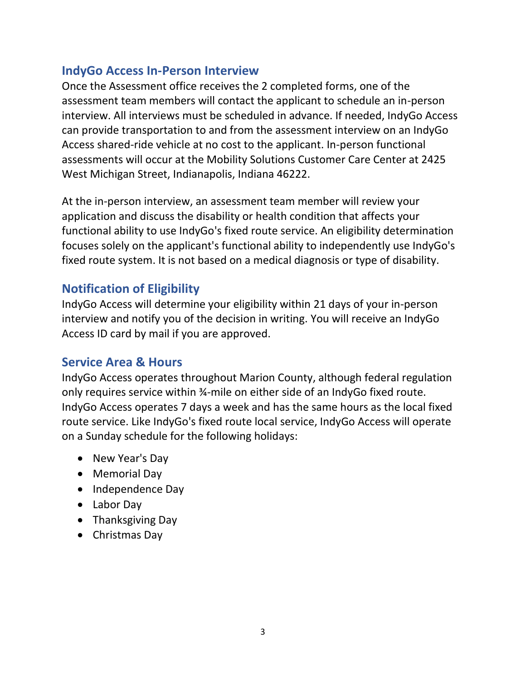# **IndyGo Access In-Person Interview**

Once the Assessment office receives the 2 completed forms, one of the assessment team members will contact the applicant to schedule an in-person interview. All interviews must be scheduled in advance. If needed, IndyGo Access can provide transportation to and from the assessment interview on an IndyGo Access shared-ride vehicle at no cost to the applicant. In-person functional assessments will occur at the Mobility Solutions Customer Care Center at 2425 West Michigan Street, Indianapolis, Indiana 46222.

At the in-person interview, an assessment team member will review your application and discuss the disability or health condition that affects your functional ability to use IndyGo's fixed route service. An eligibility determination focuses solely on the applicant's functional ability to independently use IndyGo's fixed route system. It is not based on a medical diagnosis or type of disability.

## **Notification of Eligibility**

IndyGo Access will determine your eligibility within 21 days of your in-person interview and notify you of the decision in writing. You will receive an IndyGo Access ID card by mail if you are approved.

#### **Service Area & Hours**

IndyGo Access operates throughout Marion County, although federal regulation only requires service within ¾-mile on either side of an IndyGo fixed route. IndyGo Access operates 7 days a week and has the same hours as the local fixed route service. Like IndyGo's fixed route local service, IndyGo Access will operate on a Sunday schedule for the following holidays:

- New Year's Day
- Memorial Day
- Independence Day
- Labor Day
- Thanksgiving Day
- Christmas Day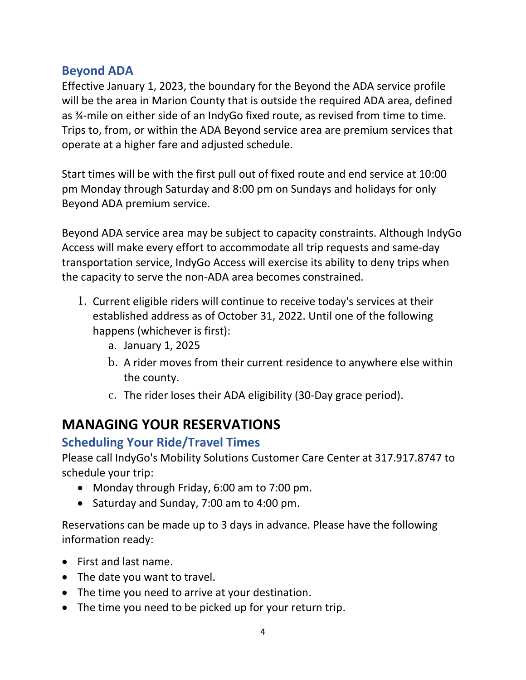# **Beyond ADA**

Effective January 1, 2023, the boundary for the Beyond the ADA service profile will be the area in Marion County that is outside the required ADA area, defined as ¾-mile on either side of an IndyGo fixed route, as revised from time to time. Trips to, from, or within the ADA Beyond service area are premium services that operate at a higher fare and adjusted schedule.

Start times will be with the first pull out of fixed route and end service at 10:00 pm Monday through Saturday and 8:00 pm on Sundays and holidays for only Beyond ADA premium service.

Beyond ADA service area may be subject to capacity constraints. Although IndyGo Access will make every effort to accommodate all trip requests and same-day transportation service, IndyGo Access will exercise its ability to deny trips when the capacity to serve the non-ADA area becomes constrained.

- 1. Current eligible riders will continue to receive today's services at their established address as of October 31, 2022. Until one of the following happens (whichever is first):
	- a. January 1, 2025
	- b. A rider moves from their current residence to anywhere else within the county.
	- c. The rider loses their ADA eligibility (30-Day grace period).

# **MANAGING YOUR RESERVATIONS**

# **Scheduling Your Ride/Travel Times**

Please call IndyGo's Mobility Solutions Customer Care Center at 317.917.8747 to schedule your trip:

- Monday through Friday, 6:00 am to 7:00 pm.
- Saturday and Sunday, 7:00 am to 4:00 pm.

Reservations can be made up to 3 days in advance. Please have the following information ready:

- First and last name.
- The date you want to travel.
- The time you need to arrive at your destination.
- The time you need to be picked up for your return trip.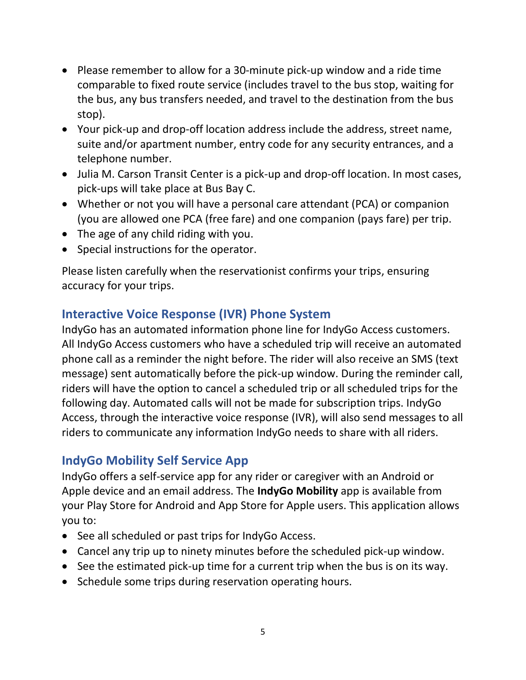- Please remember to allow for a 30-minute pick-up window and a ride time comparable to fixed route service (includes travel to the bus stop, waiting for the bus, any bus transfers needed, and travel to the destination from the bus stop).
- Your pick-up and drop-off location address include the address, street name, suite and/or apartment number, entry code for any security entrances, and a telephone number.
- Julia M. Carson Transit Center is a pick-up and drop-off location. In most cases, pick-ups will take place at Bus Bay C.
- Whether or not you will have a personal care attendant (PCA) or companion (you are allowed one PCA (free fare) and one companion (pays fare) per trip.
- The age of any child riding with you.
- Special instructions for the operator.

Please listen carefully when the reservationist confirms your trips, ensuring accuracy for your trips.

# **Interactive Voice Response (IVR) Phone System**

IndyGo has an automated information phone line for IndyGo Access customers. All IndyGo Access customers who have a scheduled trip will receive an automated phone call as a reminder the night before. The rider will also receive an SMS (text message) sent automatically before the pick-up window. During the reminder call, riders will have the option to cancel a scheduled trip or all scheduled trips for the following day. Automated calls will not be made for subscription trips. IndyGo Access, through the interactive voice response (IVR), will also send messages to all riders to communicate any information IndyGo needs to share with all riders.

# **IndyGo Mobility Self Service App**

IndyGo offers a self-service app for any rider or caregiver with an Android or Apple device and an email address. The **IndyGo Mobility** app is available from your Play Store for Android and App Store for Apple users. This application allows you to:

- See all scheduled or past trips for IndyGo Access.
- Cancel any trip up to ninety minutes before the scheduled pick-up window.
- See the estimated pick-up time for a current trip when the bus is on its way.
- Schedule some trips during reservation operating hours.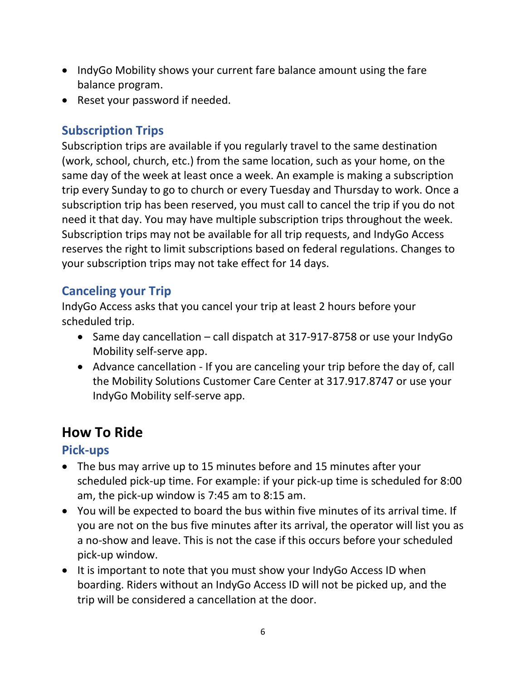- IndyGo Mobility shows your current fare balance amount using the fare balance program.
- Reset your password if needed.

# **Subscription Trips**

Subscription trips are available if you regularly travel to the same destination (work, school, church, etc.) from the same location, such as your home, on the same day of the week at least once a week. An example is making a subscription trip every Sunday to go to church or every Tuesday and Thursday to work. Once a subscription trip has been reserved, you must call to cancel the trip if you do not need it that day. You may have multiple subscription trips throughout the week. Subscription trips may not be available for all trip requests, and IndyGo Access reserves the right to limit subscriptions based on federal regulations. Changes to your subscription trips may not take effect for 14 days.

# **Canceling your Trip**

IndyGo Access asks that you cancel your trip at least 2 hours before your scheduled trip.

- Same day cancellation call dispatch at 317-917-8758 or use your IndyGo Mobility self-serve app.
- Advance cancellation If you are canceling your trip before the day of, call the Mobility Solutions Customer Care Center at 317.917.8747 or use your IndyGo Mobility self-serve app.

# **How To Ride**

# **Pick-ups**

- The bus may arrive up to 15 minutes before and 15 minutes after your scheduled pick-up time. For example: if your pick-up time is scheduled for 8:00 am, the pick-up window is 7:45 am to 8:15 am.
- You will be expected to board the bus within five minutes of its arrival time. If you are not on the bus five minutes after its arrival, the operator will list you as a no-show and leave. This is not the case if this occurs before your scheduled pick-up window.
- It is important to note that you must show your IndyGo Access ID when boarding. Riders without an IndyGo Access ID will not be picked up, and the trip will be considered a cancellation at the door.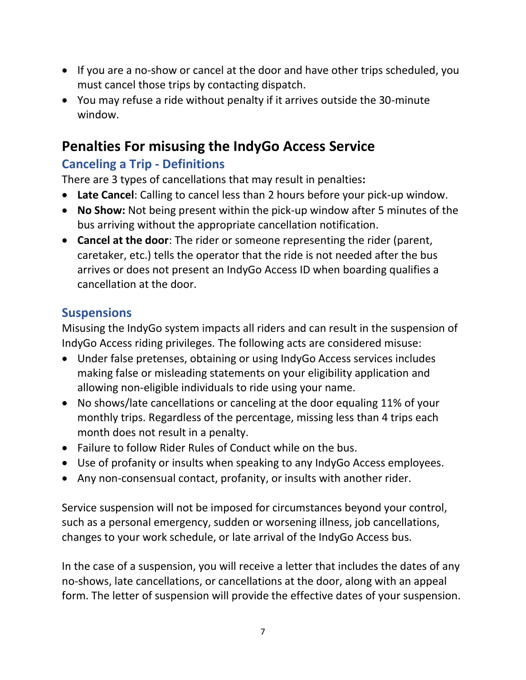- If you are a no-show or cancel at the door and have other trips scheduled, you must cancel those trips by contacting dispatch.
- You may refuse a ride without penalty if it arrives outside the 30-minute window.

# **Penalties For misusing the IndyGo Access Service**

# **Canceling a Trip - Definitions**

There are 3 types of cancellations that may result in penalties**:** 

- **Late Cancel**: Calling to cancel less than 2 hours before your pick-up window.
- **No Show:** Not being present within the pick-up window after 5 minutes of the bus arriving without the appropriate cancellation notification.
- **Cancel at the door**: The rider or someone representing the rider (parent, caretaker, etc.) tells the operator that the ride is not needed after the bus arrives or does not present an IndyGo Access ID when boarding qualifies a cancellation at the door.

# **Suspensions**

Misusing the IndyGo system impacts all riders and can result in the suspension of IndyGo Access riding privileges. The following acts are considered misuse:

- Under false pretenses, obtaining or using IndyGo Access services includes making false or misleading statements on your eligibility application and allowing non-eligible individuals to ride using your name.
- No shows/late cancellations or canceling at the door equaling 11% of your monthly trips. Regardless of the percentage, missing less than 4 trips each month does not result in a penalty.
- Failure to follow Rider Rules of Conduct while on the bus.
- Use of profanity or insults when speaking to any IndyGo Access employees.
- Any non-consensual contact, profanity, or insults with another rider.

Service suspension will not be imposed for circumstances beyond your control, such as a personal emergency, sudden or worsening illness, job cancellations, changes to your work schedule, or late arrival of the IndyGo Access bus.

In the case of a suspension, you will receive a letter that includes the dates of any no-shows, late cancellations, or cancellations at the door, along with an appeal form. The letter of suspension will provide the effective dates of your suspension.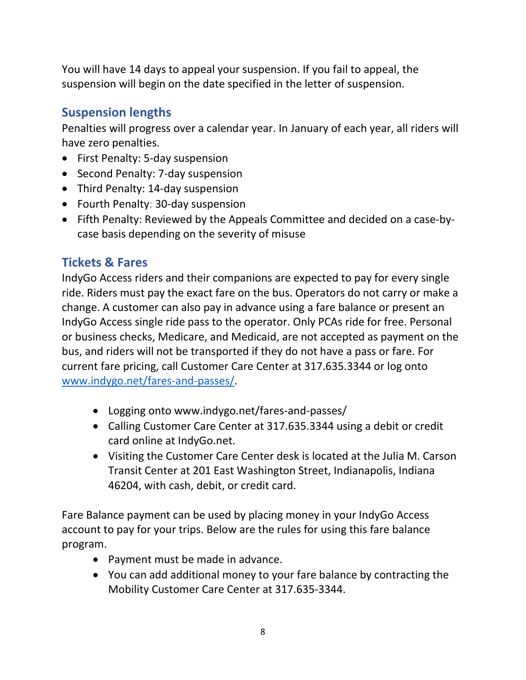You will have 14 days to appeal your suspension. If you fail to appeal, the suspension will begin on the date specified in the letter of suspension.

# **Suspension lengths**

Penalties will progress over a calendar year. In January of each year, all riders will have zero penalties.

- First Penalty: 5-day suspension
- Second Penalty: 7-day suspension
- Third Penalty: 14-day suspension
- Fourth Penalty: 30-day suspension
- Fifth Penalty: Reviewed by the Appeals Committee and decided on a case-bycase basis depending on the severity of misuse

# **Tickets & Fares**

IndyGo Access riders and their companions are expected to pay for every single ride. Riders must pay the exact fare on the bus. Operators do not carry or make a change. A customer can also pay in advance using a fare balance or present an IndyGo Access single ride pass to the operator. Only PCAs ride for free. Personal or business checks, Medicare, and Medicaid, are not accepted as payment on the bus, and riders will not be transported if they do not have a pass or fare. For current fare pricing, call Customer Care Center at 317.635.3344 or log onto [www.indygo.net/fares-and-passes/.](http://www.indygo.net/fares-and-passes/)

- Logging onto www.indygo.net/fares-and-passes/
- Calling Customer Care Center at 317.635.3344 using a debit or credit card online at IndyGo.net.
- Visiting the Customer Care Center desk is located at the Julia M. Carson Transit Center at 201 East Washington Street, Indianapolis, Indiana 46204, with cash, debit, or credit card.

Fare Balance payment can be used by placing money in your IndyGo Access account to pay for your trips. Below are the rules for using this fare balance program.

- Payment must be made in advance.
- You can add additional money to your fare balance by contracting the Mobility Customer Care Center at 317.635-3344.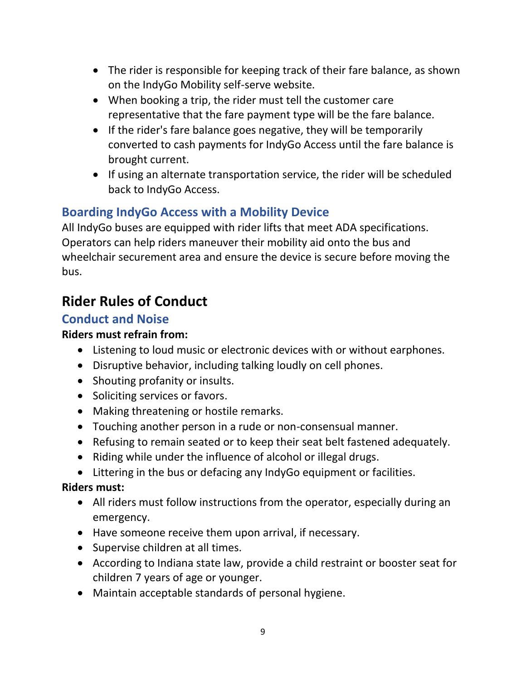- The rider is responsible for keeping track of their fare balance, as shown on the IndyGo Mobility self-serve website.
- When booking a trip, the rider must tell the customer care representative that the fare payment type will be the fare balance.
- If the rider's fare balance goes negative, they will be temporarily converted to cash payments for IndyGo Access until the fare balance is brought current.
- If using an alternate transportation service, the rider will be scheduled back to IndyGo Access.

# **Boarding IndyGo Access with a Mobility Device**

All IndyGo buses are equipped with rider lifts that meet ADA specifications. Operators can help riders maneuver their mobility aid onto the bus and wheelchair securement area and ensure the device is secure before moving the bus.

# **Rider Rules of Conduct**

## **Conduct and Noise**

#### **Riders must refrain from:**

- Listening to loud music or electronic devices with or without earphones.
- Disruptive behavior, including talking loudly on cell phones.
- Shouting profanity or insults.
- Soliciting services or favors.
- Making threatening or hostile remarks.
- Touching another person in a rude or non-consensual manner.
- Refusing to remain seated or to keep their seat belt fastened adequately.
- Riding while under the influence of alcohol or illegal drugs.
- Littering in the bus or defacing any IndyGo equipment or facilities.

#### **Riders must:**

- All riders must follow instructions from the operator, especially during an emergency.
- Have someone receive them upon arrival, if necessary.
- Supervise children at all times.
- According to Indiana state law, provide a child restraint or booster seat for children 7 years of age or younger.
- Maintain acceptable standards of personal hygiene.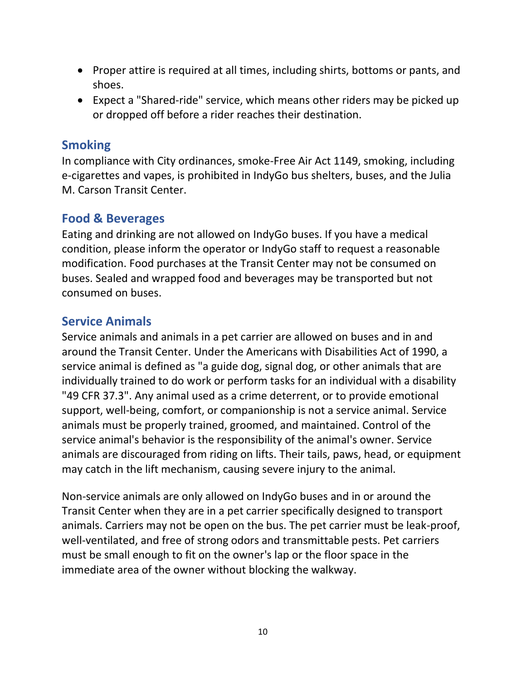- Proper attire is required at all times, including shirts, bottoms or pants, and shoes.
- Expect a "Shared-ride" service, which means other riders may be picked up or dropped off before a rider reaches their destination.

## **Smoking**

In compliance with City ordinances, smoke-Free Air Act 1149, smoking, including e-cigarettes and vapes, is prohibited in IndyGo bus shelters, buses, and the Julia M. Carson Transit Center.

## **Food & Beverages**

Eating and drinking are not allowed on IndyGo buses. If you have a medical condition, please inform the operator or IndyGo staff to request a reasonable modification. Food purchases at the Transit Center may not be consumed on buses. Sealed and wrapped food and beverages may be transported but not consumed on buses.

## **Service Animals**

Service animals and animals in a pet carrier are allowed on buses and in and around the Transit Center. Under the Americans with Disabilities Act of 1990, a service animal is defined as "a guide dog, signal dog, or other animals that are individually trained to do work or perform tasks for an individual with a disability "49 CFR 37.3". Any animal used as a crime deterrent, or to provide emotional support, well-being, comfort, or companionship is not a service animal. Service animals must be properly trained, groomed, and maintained. Control of the service animal's behavior is the responsibility of the animal's owner. Service animals are discouraged from riding on lifts. Their tails, paws, head, or equipment may catch in the lift mechanism, causing severe injury to the animal.

Non-service animals are only allowed on IndyGo buses and in or around the Transit Center when they are in a pet carrier specifically designed to transport animals. Carriers may not be open on the bus. The pet carrier must be leak-proof, well-ventilated, and free of strong odors and transmittable pests. Pet carriers must be small enough to fit on the owner's lap or the floor space in the immediate area of the owner without blocking the walkway.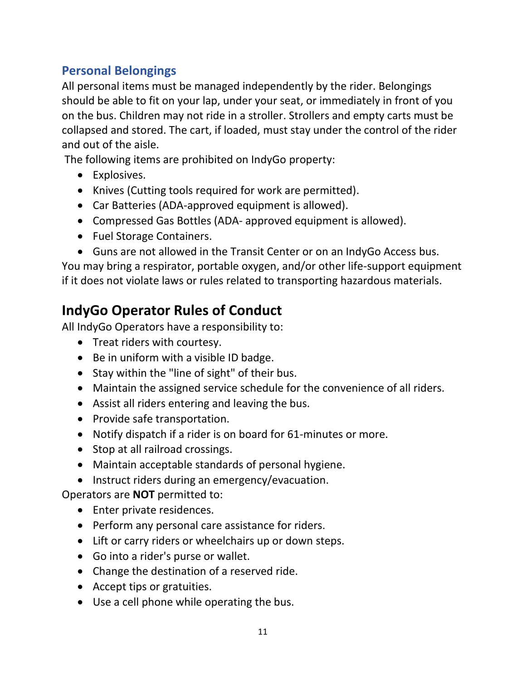# **Personal Belongings**

All personal items must be managed independently by the rider. Belongings should be able to fit on your lap, under your seat, or immediately in front of you on the bus. Children may not ride in a stroller. Strollers and empty carts must be collapsed and stored. The cart, if loaded, must stay under the control of the rider and out of the aisle.

The following items are prohibited on IndyGo property:

- Explosives.
- Knives (Cutting tools required for work are permitted).
- Car Batteries (ADA-approved equipment is allowed).
- Compressed Gas Bottles (ADA- approved equipment is allowed).
- Fuel Storage Containers.
- Guns are not allowed in the Transit Center or on an IndyGo Access bus.

You may bring a respirator, portable oxygen, and/or other life-support equipment if it does not violate laws or rules related to transporting hazardous materials.

# **IndyGo Operator Rules of Conduct**

All IndyGo Operators have a responsibility to:

- Treat riders with courtesy.
- Be in uniform with a visible ID badge.
- Stay within the "line of sight" of their bus.
- Maintain the assigned service schedule for the convenience of all riders.
- Assist all riders entering and leaving the bus.
- Provide safe transportation.
- Notify dispatch if a rider is on board for 61-minutes or more.
- Stop at all railroad crossings.
- Maintain acceptable standards of personal hygiene.
- Instruct riders during an emergency/evacuation.

Operators are **NOT** permitted to:

- Enter private residences.
- Perform any personal care assistance for riders.
- Lift or carry riders or wheelchairs up or down steps.
- Go into a rider's purse or wallet.
- Change the destination of a reserved ride.
- Accept tips or gratuities.
- Use a cell phone while operating the bus.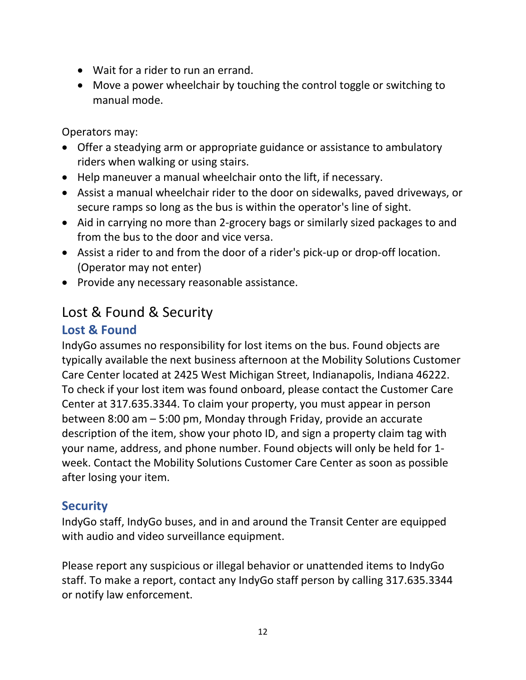- Wait for a rider to run an errand.
- Move a power wheelchair by touching the control toggle or switching to manual mode.

Operators may:

- Offer a steadying arm or appropriate guidance or assistance to ambulatory riders when walking or using stairs.
- Help maneuver a manual wheelchair onto the lift, if necessary.
- Assist a manual wheelchair rider to the door on sidewalks, paved driveways, or secure ramps so long as the bus is within the operator's line of sight.
- Aid in carrying no more than 2-grocery bags or similarly sized packages to and from the bus to the door and vice versa.
- Assist a rider to and from the door of a rider's pick-up or drop-off location. (Operator may not enter)
- Provide any necessary reasonable assistance.

# Lost & Found & Security

# **Lost & Found**

IndyGo assumes no responsibility for lost items on the bus. Found objects are typically available the next business afternoon at the Mobility Solutions Customer Care Center located at 2425 West Michigan Street, Indianapolis, Indiana 46222. To check if your lost item was found onboard, please contact the Customer Care Center at 317.635.3344. To claim your property, you must appear in person between 8:00 am – 5:00 pm, Monday through Friday, provide an accurate description of the item, show your photo ID, and sign a property claim tag with your name, address, and phone number. Found objects will only be held for 1 week. Contact the Mobility Solutions Customer Care Center as soon as possible after losing your item.

# **Security**

IndyGo staff, IndyGo buses, and in and around the Transit Center are equipped with audio and video surveillance equipment.

Please report any suspicious or illegal behavior or unattended items to IndyGo staff. To make a report, contact any IndyGo staff person by calling 317.635.3344 or notify law enforcement.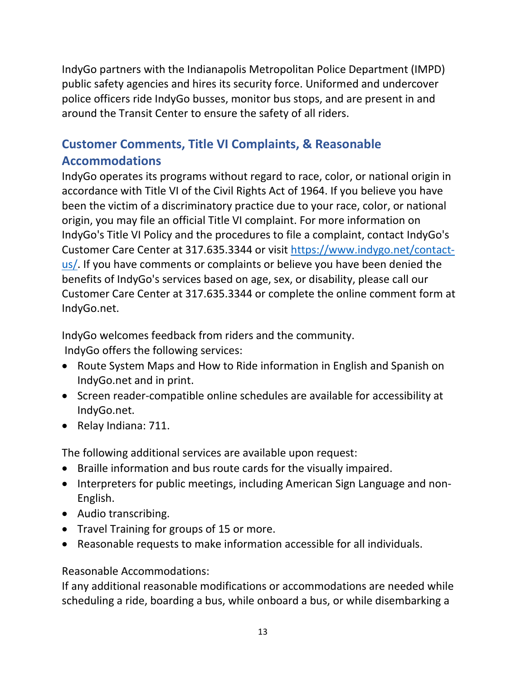IndyGo partners with the Indianapolis Metropolitan Police Department (IMPD) public safety agencies and hires its security force. Uniformed and undercover police officers ride IndyGo busses, monitor bus stops, and are present in and around the Transit Center to ensure the safety of all riders.

# **Customer Comments, Title VI Complaints, & Reasonable Accommodations**

IndyGo operates its programs without regard to race, color, or national origin in accordance with Title VI of the Civil Rights Act of 1964. If you believe you have been the victim of a discriminatory practice due to your race, color, or national origin, you may file an official Title VI complaint. For more information on IndyGo's Title VI Policy and the procedures to file a complaint, contact IndyGo's Customer Care Center at 317.635.3344 or visit [https://www.indygo.net/contact](https://www.indygo.net/contact-us/)[us/.](https://www.indygo.net/contact-us/) If you have comments or complaints or believe you have been denied the benefits of IndyGo's services based on age, sex, or disability, please call our Customer Care Center at 317.635.3344 or complete the online comment form at IndyGo.net.

IndyGo welcomes feedback from riders and the community. IndyGo offers the following services:

- Route System Maps and How to Ride information in English and Spanish on IndyGo.net and in print.
- Screen reader-compatible online schedules are available for accessibility at IndyGo.net.
- Relay Indiana: 711.

The following additional services are available upon request:

- Braille information and bus route cards for the visually impaired.
- Interpreters for public meetings, including American Sign Language and non-English.
- Audio transcribing.
- Travel Training for groups of 15 or more.
- Reasonable requests to make information accessible for all individuals.

#### Reasonable Accommodations:

If any additional reasonable modifications or accommodations are needed while scheduling a ride, boarding a bus, while onboard a bus, or while disembarking a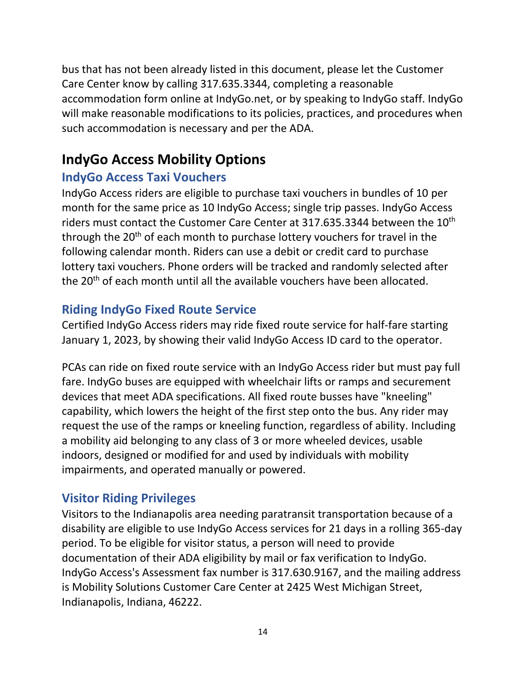bus that has not been already listed in this document, please let the Customer Care Center know by calling 317.635.3344, completing a reasonable accommodation form online at IndyGo.net, or by speaking to IndyGo staff. IndyGo will make reasonable modifications to its policies, practices, and procedures when such accommodation is necessary and per the ADA.

# **IndyGo Access Mobility Options**

# **IndyGo Access Taxi Vouchers**

IndyGo Access riders are eligible to purchase taxi vouchers in bundles of 10 per month for the same price as 10 IndyGo Access; single trip passes. IndyGo Access riders must contact the Customer Care Center at  $317.635.3344$  between the  $10<sup>th</sup>$ through the  $20<sup>th</sup>$  of each month to purchase lottery vouchers for travel in the following calendar month. Riders can use a debit or credit card to purchase lottery taxi vouchers. Phone orders will be tracked and randomly selected after the 20<sup>th</sup> of each month until all the available vouchers have been allocated.

# **Riding IndyGo Fixed Route Service**

Certified IndyGo Access riders may ride fixed route service for half-fare starting January 1, 2023, by showing their valid IndyGo Access ID card to the operator.

PCAs can ride on fixed route service with an IndyGo Access rider but must pay full fare. IndyGo buses are equipped with wheelchair lifts or ramps and securement devices that meet ADA specifications. All fixed route busses have "kneeling" capability, which lowers the height of the first step onto the bus. Any rider may request the use of the ramps or kneeling function, regardless of ability. Including a mobility aid belonging to any class of 3 or more wheeled devices, usable indoors, designed or modified for and used by individuals with mobility impairments, and operated manually or powered.

# **Visitor Riding Privileges**

Visitors to the Indianapolis area needing paratransit transportation because of a disability are eligible to use IndyGo Access services for 21 days in a rolling 365-day period. To be eligible for visitor status, a person will need to provide documentation of their ADA eligibility by mail or fax verification to IndyGo. IndyGo Access's Assessment fax number is 317.630.9167, and the mailing address is Mobility Solutions Customer Care Center at 2425 West Michigan Street, Indianapolis, Indiana, 46222.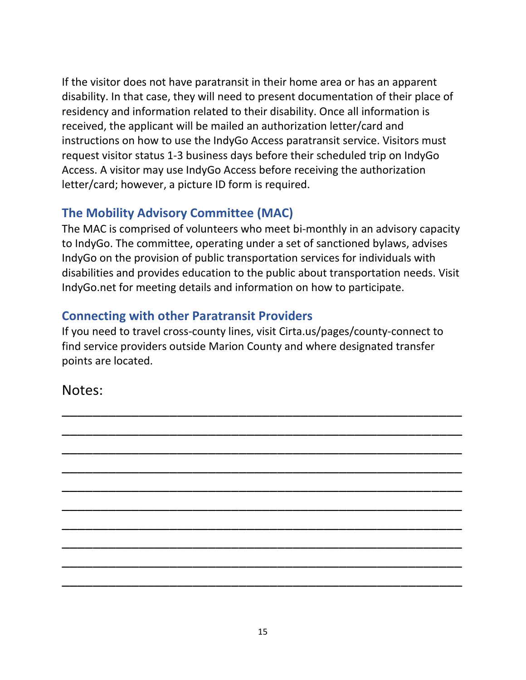If the visitor does not have paratransit in their home area or has an apparent disability. In that case, they will need to present documentation of their place of residency and information related to their disability. Once all information is received, the applicant will be mailed an authorization letter/card and instructions on how to use the IndyGo Access paratransit service. Visitors must request visitor status 1-3 business days before their scheduled trip on IndyGo Access. A visitor may use IndyGo Access before receiving the authorization letter/card; however, a picture ID form is required.

# **The Mobility Advisory Committee (MAC)**

The MAC is comprised of volunteers who meet bi-monthly in an advisory capacity to IndyGo. The committee, operating under a set of sanctioned bylaws, advises IndyGo on the provision of public transportation services for individuals with disabilities and provides education to the public about transportation needs. Visit IndyGo.net for meeting details and information on how to participate.

# **Connecting with other Paratransit Providers**

If you need to travel cross-county lines, visit Cirta.us/pages/county-connect to find service providers outside Marion County and where designated transfer points are located.

\_\_\_\_\_\_\_\_\_\_\_\_\_\_\_\_\_\_\_\_\_\_\_\_\_\_\_\_\_\_\_\_\_\_\_\_\_\_\_\_\_\_\_\_\_\_\_\_\_\_\_\_

\_\_\_\_\_\_\_\_\_\_\_\_\_\_\_\_\_\_\_\_\_\_\_\_\_\_\_\_\_\_\_\_\_\_\_\_\_\_\_\_\_\_\_\_\_\_\_\_\_\_\_\_

\_\_\_\_\_\_\_\_\_\_\_\_\_\_\_\_\_\_\_\_\_\_\_\_\_\_\_\_\_\_\_\_\_\_\_\_\_\_\_\_\_\_\_\_\_\_\_\_\_\_\_\_

\_\_\_\_\_\_\_\_\_\_\_\_\_\_\_\_\_\_\_\_\_\_\_\_\_\_\_\_\_\_\_\_\_\_\_\_\_\_\_\_\_\_\_\_\_\_\_\_\_\_\_\_

\_\_\_\_\_\_\_\_\_\_\_\_\_\_\_\_\_\_\_\_\_\_\_\_\_\_\_\_\_\_\_\_\_\_\_\_\_\_\_\_\_\_\_\_\_\_\_\_\_\_\_\_

\_\_\_\_\_\_\_\_\_\_\_\_\_\_\_\_\_\_\_\_\_\_\_\_\_\_\_\_\_\_\_\_\_\_\_\_\_\_\_\_\_\_\_\_\_\_\_\_\_\_\_\_

\_\_\_\_\_\_\_\_\_\_\_\_\_\_\_\_\_\_\_\_\_\_\_\_\_\_\_\_\_\_\_\_\_\_\_\_\_\_\_\_\_\_\_\_\_\_\_\_\_\_\_\_

\_\_\_\_\_\_\_\_\_\_\_\_\_\_\_\_\_\_\_\_\_\_\_\_\_\_\_\_\_\_\_\_\_\_\_\_\_\_\_\_\_\_\_\_\_\_\_\_\_\_\_\_

\_\_\_\_\_\_\_\_\_\_\_\_\_\_\_\_\_\_\_\_\_\_\_\_\_\_\_\_\_\_\_\_\_\_\_\_\_\_\_\_\_\_\_\_\_\_\_\_\_\_\_\_

\_\_\_\_\_\_\_\_\_\_\_\_\_\_\_\_\_\_\_\_\_\_\_\_\_\_\_\_\_\_\_\_\_\_\_\_\_\_\_\_\_\_\_\_\_\_\_\_\_\_\_\_

# Notes: